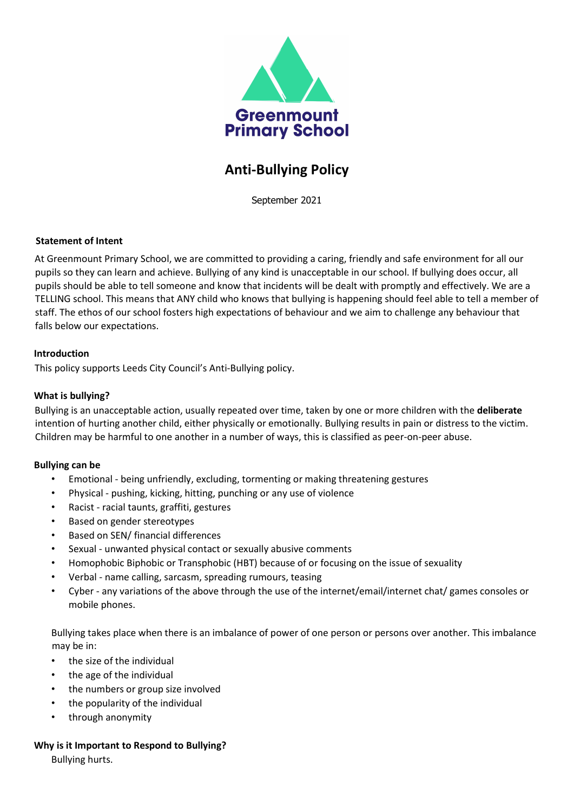

# Anti-Bullying Policy

September 2021

## Statement of Intent

At Greenmount Primary School, we are committed to providing a caring, friendly and safe environment for all our pupils so they can learn and achieve. Bullying of any kind is unacceptable in our school. If bullying does occur, all pupils should be able to tell someone and know that incidents will be dealt with promptly and effectively. We are a TELLING school. This means that ANY child who knows that bullying is happening should feel able to tell a member of staff. The ethos of our school fosters high expectations of behaviour and we aim to challenge any behaviour that falls below our expectations.

## Introduction

This policy supports Leeds City Council's Anti-Bullying policy.

## What is bullying?

Bullying is an unacceptable action, usually repeated over time, taken by one or more children with the deliberate intention of hurting another child, either physically or emotionally. Bullying results in pain or distress to the victim. Children may be harmful to one another in a number of ways, this is classified as peer-on-peer abuse.

#### Bullying can be

- Emotional being unfriendly, excluding, tormenting or making threatening gestures
- Physical pushing, kicking, hitting, punching or any use of violence
- Racist racial taunts, graffiti, gestures
- Based on gender stereotypes
- Based on SEN/ financial differences
- Sexual unwanted physical contact or sexually abusive comments
- Homophobic Biphobic or Transphobic (HBT) because of or focusing on the issue of sexuality
- Verbal name calling, sarcasm, spreading rumours, teasing
- Cyber any variations of the above through the use of the internet/email/internet chat/ games consoles or mobile phones.

Bullying takes place when there is an imbalance of power of one person or persons over another. This imbalance may be in:

- the size of the individual
- the age of the individual
- the numbers or group size involved
- the popularity of the individual
- through anonymity

# Why is it Important to Respond to Bullying?

Bullying hurts.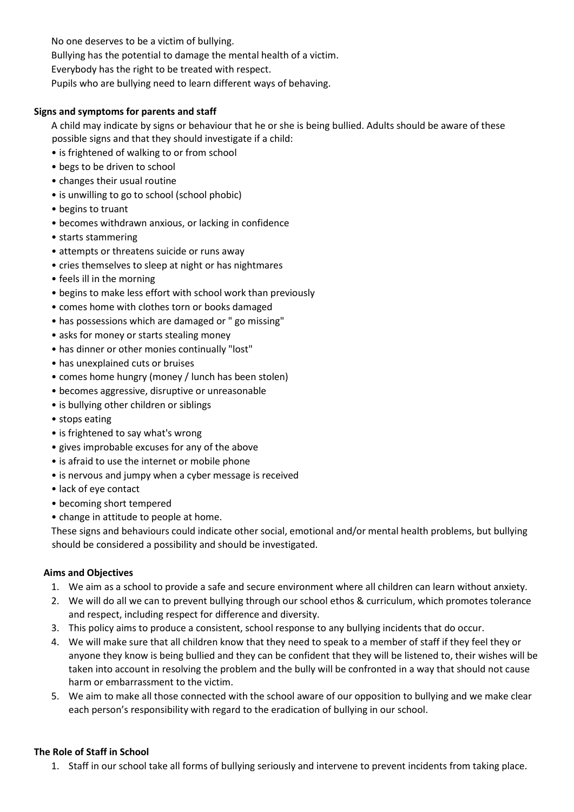No one deserves to be a victim of bullying.

Bullying has the potential to damage the mental health of a victim.

Everybody has the right to be treated with respect.

Pupils who are bullying need to learn different ways of behaving.

# Signs and symptoms for parents and staff

A child may indicate by signs or behaviour that he or she is being bullied. Adults should be aware of these possible signs and that they should investigate if a child:

- is frightened of walking to or from school
- begs to be driven to school
- changes their usual routine
- is unwilling to go to school (school phobic)
- begins to truant
- becomes withdrawn anxious, or lacking in confidence
- starts stammering
- attempts or threatens suicide or runs away
- cries themselves to sleep at night or has nightmares
- feels ill in the morning
- begins to make less effort with school work than previously
- comes home with clothes torn or books damaged
- has possessions which are damaged or " go missing"
- asks for money or starts stealing money
- has dinner or other monies continually "lost"
- has unexplained cuts or bruises
- comes home hungry (money / lunch has been stolen)
- becomes aggressive, disruptive or unreasonable
- is bullying other children or siblings
- stops eating
- is frightened to say what's wrong
- gives improbable excuses for any of the above
- is afraid to use the internet or mobile phone
- is nervous and jumpy when a cyber message is received
- lack of eye contact
- becoming short tempered
- change in attitude to people at home.

These signs and behaviours could indicate other social, emotional and/or mental health problems, but bullying should be considered a possibility and should be investigated.

# Aims and Objectives

- 1. We aim as a school to provide a safe and secure environment where all children can learn without anxiety.
- 2. We will do all we can to prevent bullying through our school ethos & curriculum, which promotes tolerance and respect, including respect for difference and diversity.
- 3. This policy aims to produce a consistent, school response to any bullying incidents that do occur.
- 4. We will make sure that all children know that they need to speak to a member of staff if they feel they or anyone they know is being bullied and they can be confident that they will be listened to, their wishes will be taken into account in resolving the problem and the bully will be confronted in a way that should not cause harm or embarrassment to the victim.
- 5. We aim to make all those connected with the school aware of our opposition to bullying and we make clear each person's responsibility with regard to the eradication of bullying in our school.

# The Role of Staff in School

1. Staff in our school take all forms of bullying seriously and intervene to prevent incidents from taking place.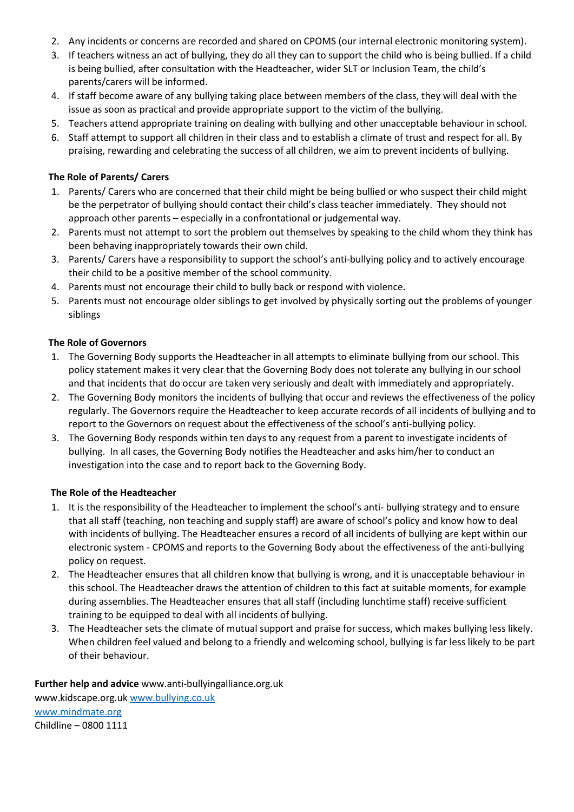- 2. Any incidents or concerns are recorded and shared on CPOMS (our internal electronic monitoring system).
- 3. If teachers witness an act of bullying, they do all they can to support the child who is being bullied. If a child is being bullied, after consultation with the Headteacher, wider SLT or Inclusion Team, the child's parents/carers will be informed.
- 4. If staff become aware of any bullying taking place between members of the class, they will deal with the issue as soon as practical and provide appropriate support to the victim of the bullying.
- 5. Teachers attend appropriate training on dealing with bullying and other unacceptable behaviour in school.
- 6. Staff attempt to support all children in their class and to establish a climate of trust and respect for all. By praising, rewarding and celebrating the success of all children, we aim to prevent incidents of bullying.

## The Role of Parents/ Carers

- 1. Parents/ Carers who are concerned that their child might be being bullied or who suspect their child might be the perpetrator of bullying should contact their child's class teacher immediately. They should not approach other parents – especially in a confrontational or judgemental way.
- 2. Parents must not attempt to sort the problem out themselves by speaking to the child whom they think has been behaving inappropriately towards their own child.
- 3. Parents/ Carers have a responsibility to support the school's anti-bullying policy and to actively encourage their child to be a positive member of the school community.
- 4. Parents must not encourage their child to bully back or respond with violence.
- 5. Parents must not encourage older siblings to get involved by physically sorting out the problems of younger siblings

#### The Role of Governors

- 1. The Governing Body supports the Headteacher in all attempts to eliminate bullying from our school. This policy statement makes it very clear that the Governing Body does not tolerate any bullying in our school and that incidents that do occur are taken very seriously and dealt with immediately and appropriately.
- 2. The Governing Body monitors the incidents of bullying that occur and reviews the effectiveness of the policy regularly. The Governors require the Headteacher to keep accurate records of all incidents of bullying and to report to the Governors on request about the effectiveness of the school's anti-bullying policy.
- 3. The Governing Body responds within ten days to any request from a parent to investigate incidents of bullying. In all cases, the Governing Body notifies the Headteacher and asks him/her to conduct an investigation into the case and to report back to the Governing Body.

#### The Role of the Headteacher

- 1. It is the responsibility of the Headteacher to implement the school's anti- bullying strategy and to ensure that all staff (teaching, non teaching and supply staff) are aware of school's policy and know how to deal with incidents of bullying. The Headteacher ensures a record of all incidents of bullying are kept within our electronic system - CPOMS and reports to the Governing Body about the effectiveness of the anti-bullying policy on request.
- 2. The Headteacher ensures that all children know that bullying is wrong, and it is unacceptable behaviour in this school. The Headteacher draws the attention of children to this fact at suitable moments, for example during assemblies. The Headteacher ensures that all staff (including lunchtime staff) receive sufficient training to be equipped to deal with all incidents of bullying.
- 3. The Headteacher sets the climate of mutual support and praise for success, which makes bullying less likely. When children feel valued and belong to a friendly and welcoming school, bullying is far less likely to be part of their behaviour.

# Further help and advice www.anti-bullyingalliance.org.uk

www.kidscape.org.uk www.bullying.co.uk www.mindmate.org Childline – 0800 1111